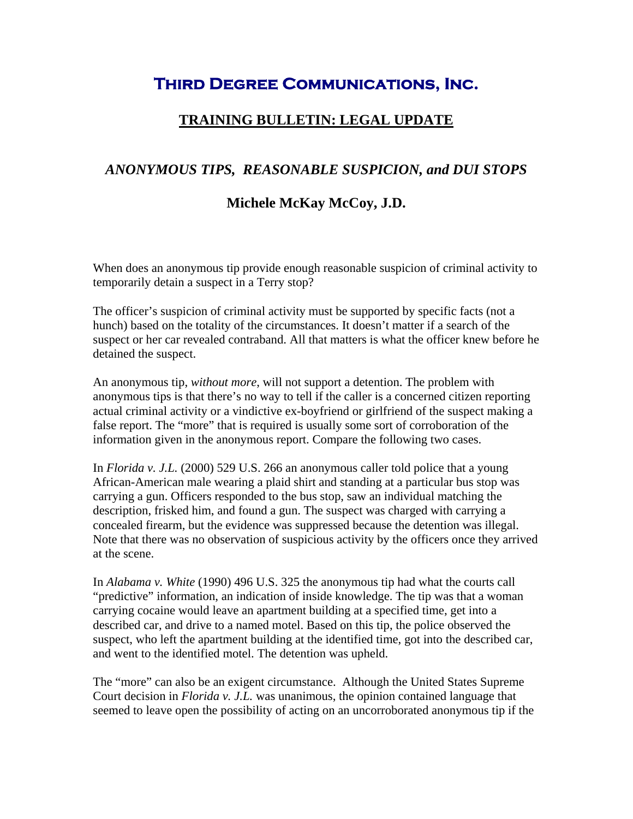## **Third Degree Communications, Inc.**

## **TRAINING BULLETIN: LEGAL UPDATE**

## *ANONYMOUS TIPS, REASONABLE SUSPICION, and DUI STOPS*

## **Michele McKay McCoy, J.D.**

When does an anonymous tip provide enough reasonable suspicion of criminal activity to temporarily detain a suspect in a Terry stop?

The officer's suspicion of criminal activity must be supported by specific facts (not a hunch) based on the totality of the circumstances. It doesn't matter if a search of the suspect or her car revealed contraband. All that matters is what the officer knew before he detained the suspect.

An anonymous tip, *without more*, will not support a detention. The problem with anonymous tips is that there's no way to tell if the caller is a concerned citizen reporting actual criminal activity or a vindictive ex-boyfriend or girlfriend of the suspect making a false report. The "more" that is required is usually some sort of corroboration of the information given in the anonymous report. Compare the following two cases.

In *Florida v. J.L.* (2000) 529 U.S. 266 an anonymous caller told police that a young African-American male wearing a plaid shirt and standing at a particular bus stop was carrying a gun. Officers responded to the bus stop, saw an individual matching the description, frisked him, and found a gun. The suspect was charged with carrying a concealed firearm, but the evidence was suppressed because the detention was illegal. Note that there was no observation of suspicious activity by the officers once they arrived at the scene.

In *Alabama v. White* (1990) 496 U.S. 325 the anonymous tip had what the courts call "predictive" information, an indication of inside knowledge. The tip was that a woman carrying cocaine would leave an apartment building at a specified time, get into a described car, and drive to a named motel. Based on this tip, the police observed the suspect, who left the apartment building at the identified time, got into the described car, and went to the identified motel. The detention was upheld.

The "more" can also be an exigent circumstance. Although the United States Supreme Court decision in *Florida v. J.L.* was unanimous, the opinion contained language that seemed to leave open the possibility of acting on an uncorroborated anonymous tip if the